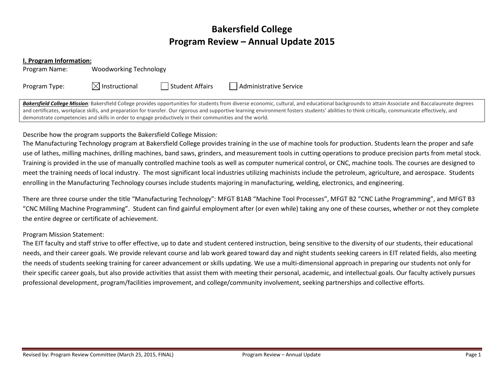# Bakersfield College Program Review – Annual Update 2015

#### I. Program Information:

Program Name: Woodworking Technology

Program Type:  $\boxtimes$  Instructional  $\Box$  Student Affairs  $\Box$  Administrative Service

Bakersfield College Mission: Bakersfield College provides opportunities for students from diverse economic, cultural, and educational backgrounds to attain Associate and Baccalaureate degrees and certificates, workplace skills, and preparation for transfer. Our rigorous and supportive learning environment fosters students' abilities to think critically, communicate effectively, and demonstrate competencies and skills in order to engage productively in their communities and the world.

## Describe how the program supports the Bakersfield College Mission:

The Manufacturing Technology program at Bakersfield College provides training in the use of machine tools for production. Students learn the proper and safe use of lathes, milling machines, drilling machines, band saws, grinders, and measurement tools in cutting operations to produce precision parts from metal stock. Training is provided in the use of manually controlled machine tools as well as computer numerical control, or CNC, machine tools. The courses are designed to meet the training needs of local industry. The most significant local industries utilizing machinists include the petroleum, agriculture, and aerospace. Students enrolling in the Manufacturing Technology courses include students majoring in manufacturing, welding, electronics, and engineering.

There are three course under the title "Manufacturing Technology": MFGT B1AB "Machine Tool Processes", MFGT B2 "CNC Lathe Programming", and MFGT B3 "CNC Milling Machine Programming". Student can find gainful employment after (or even while) taking any one of these courses, whether or not they complete the entire degree or certificate of achievement.

## Program Mission Statement:

The EIT faculty and staff strive to offer effective, up to date and student centered instruction, being sensitive to the diversity of our students, their educational needs, and their career goals. We provide relevant course and lab work geared toward day and night students seeking careers in EIT related fields, also meeting the needs of students seeking training for career advancement or skills updating. We use a multi‐dimensional approach in preparing our students not only for their specific career goals, but also provide activities that assist them with meeting their personal, academic, and intellectual goals. Our faculty actively pursues professional development, program/facilities improvement, and college/community involvement, seeking partnerships and collective efforts.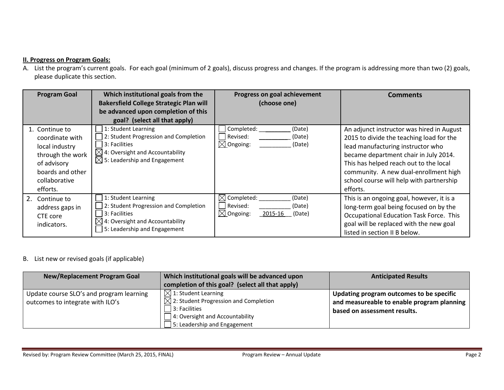## **II. Progress on Program Goals:**

A. List the program's current goals. For each goal (minimum of 2 goals), discuss progress and changes. If the program is addressing more than two (2) goals, please duplicate this section.

| <b>Program Goal</b>                                                                                                                     | Which institutional goals from the<br><b>Bakersfield College Strategic Plan will</b><br>be advanced upon completion of this<br>goal? (select all that apply)             | Progress on goal achievement<br>(choose one)                                                          | <b>Comments</b>                                                                                                                                                                                                                                                                                                |
|-----------------------------------------------------------------------------------------------------------------------------------------|--------------------------------------------------------------------------------------------------------------------------------------------------------------------------|-------------------------------------------------------------------------------------------------------|----------------------------------------------------------------------------------------------------------------------------------------------------------------------------------------------------------------------------------------------------------------------------------------------------------------|
| 1. Continue to<br>coordinate with<br>local industry<br>through the work<br>of advisory<br>boards and other<br>collaborative<br>efforts. | 1: Student Learning<br>2: Student Progression and Completion<br>3: Facilities<br>$\boxtimes$ 4: Oversight and Accountability<br>$\boxtimes$ 5: Leadership and Engagement | Completed:<br>(Date)<br>Revised:<br>(Date)<br>$\boxtimes$ Ongoing:<br>(Date)                          | An adjunct instructor was hired in August<br>2015 to divide the teaching load for the<br>lead manufacturing instructor who<br>became department chair in July 2014.<br>This has helped reach out to the local<br>community. A new dual-enrollment high<br>school course will help with partnership<br>efforts. |
| 2. Continue to<br>address gaps in<br>CTE core<br>indicators.                                                                            | 1: Student Learning<br>2: Student Progression and Completion<br>3: Facilities<br>$\boxtimes$ 4: Oversight and Accountability<br>5: Leadership and Engagement             | $\boxtimes$ Completed:<br>(Date)<br>  Revised:<br>(Date)<br>$\boxtimes$ Ongoing:<br>2015-16<br>(Date) | This is an ongoing goal, however, it is a<br>long-term goal being focused on by the<br>Occupational Education Task Force. This<br>goal will be replaced with the new goal<br>listed in section II B below.                                                                                                     |

### B. List new or revised goals (if applicable)

| <b>New/Replacement Program Goal</b>                                          | Which institutional goals will be advanced upon<br>completion of this goal? (select all that apply)                                                                    | <b>Anticipated Results</b>                                                                                             |
|------------------------------------------------------------------------------|------------------------------------------------------------------------------------------------------------------------------------------------------------------------|------------------------------------------------------------------------------------------------------------------------|
| Update course SLO's and program learning<br>outcomes to integrate with ILO's | $\Box$ 1: Student Learning<br>$\boxtimes$ 2: Student Progression and Completion<br>$ 3:$ Facilities<br>4: Oversight and Accountability<br>5: Leadership and Engagement | Updating program outcomes to be specific<br>and measureable to enable program planning<br>based on assessment results. |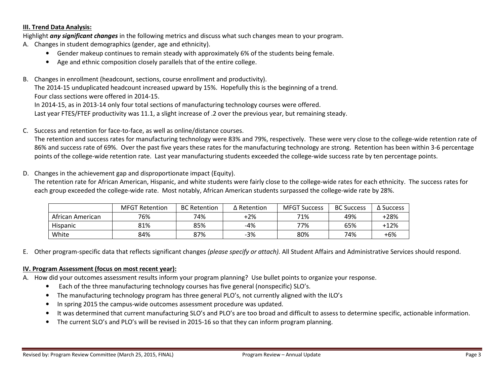### III. Trend Data Analysis:

Highlight any significant changes in the following metrics and discuss what such changes mean to your program.

- A. Changes in student demographics (gender, age and ethnicity).
	- •Gender makeup continues to remain steady with approximately 6% of the students being female.
	- $\bullet$ Age and ethnic composition closely parallels that of the entire college.
- B. Changes in enrollment (headcount, sections, course enrollment and productivity).

The 2014‐15 unduplicated headcount increased upward by 15%. Hopefully this is the beginning of a trend.

Four class sections were offered in 2014‐15.

In 2014-15, as in 2013-14 only four total sections of manufacturing technology courses were offered.

Last year FTES/FTEF productivity was 11.1, a slight increase of .2 over the previous year, but remaining steady.

C. Success and retention for face‐to‐face, as well as online/distance courses.

The retention and success rates for manufacturing technology were 83% and 79%, respectively. These were very close to the college-wide retention rate of 86% and success rate of 69%. Over the past five years these rates for the manufacturing technology are strong. Retention has been within 3-6 percentage points of the college-wide retention rate. Last year manufacturing students exceeded the college-wide success rate by ten percentage points.

D. Changes in the achievement gap and disproportionate impact (Equity).

The retention rate for African American, Hispanic, and white students were fairly close to the college‐wide rates for each ethnicity. The success rates for each group exceeded the college-wide rate. Most notably, African American students surpassed the college-wide rate by 28%.

|                  | <b>MFGT Retention</b> | <b>BC Retention</b> | $\Delta$ Retention | <b>MFGT Success</b> | <b>BC Success</b> | $\Delta$ Success |
|------------------|-----------------------|---------------------|--------------------|---------------------|-------------------|------------------|
| African American | 76%                   | 74%                 | +2%                | 71%                 | 49%               | $+28%$           |
| Hispanic         | 81%                   | 85%                 | -4%                | 77%                 | 65%               | $+12%$           |
| White            | 84%                   | 87%                 | -3%                | 80%                 | 74%               | +6%              |

E. Other program-specific data that reflects significant changes *(please specify or attach).* All Student Affairs and Administrative Services should respond.

## IV. Program Assessment (focus on most recent year):

A. How did your outcomes assessment results inform your program planning? Use bullet points to organize your response.

- Each of the three manufacturing technology courses has five general (nonspecific) SLO's.
- $\bullet$ The manufacturing technology program has three general PLO's, not currently aligned with the ILO's
- •In spring 2015 the campus-wide outcomes assessment procedure was updated.
- •It was determined that current manufacturing SLO's and PLO's are too broad and difficult to assess to determine specific, actionable information.
- •The current SLO's and PLO's will be revised in 2015‐16 so that they can inform program planning.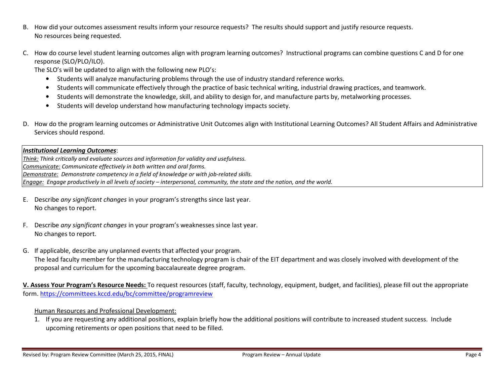- B. How did your outcomes assessment results inform your resource requests? The results should support and justify resource requests. No resources being requested.
- C. How do course level student learning outcomes align with program learning outcomes? Instructional programs can combine questions C and D for one response (SLO/PLO/ILO).

The SLO's will be updated to align with the following new PLO's:

- •Students will analyze manufacturing problems through the use of industry standard reference works.
- •Students will communicate effectively through the practice of basic technical writing, industrial drawing practices, and teamwork.
- •Students will demonstrate the knowledge, skill, and ability to design for, and manufacture parts by, metalworking processes.
- •Students will develop understand how manufacturing technology impacts society.
- D. How do the program learning outcomes or Administrative Unit Outcomes align with Institutional Learning Outcomes? All Student Affairs and Administrative Services should respond.

## Institutional Learning Outcomes:

Think: Think critically and evaluate sources and information for validity and usefulness. Communicate: Communicate effectively in both written and oral forms. Demonstrate: Demonstrate competency in a field of knowledge or with job-related skills. Engage: Engage productively in all levels of society – interpersonal, community, the state and the nation, and the world.

- E. Describe any significant changes in your program's strengths since last year. No changes to report.
- F. Describe any significant changes in your program's weaknesses since last year. No changes to report.
- G. If applicable, describe any unplanned events that affected your program. The lead faculty member for the manufacturing technology program is chair of the EIT department and was closely involved with development of the proposal and curriculum for the upcoming baccalaureate degree program.

V. Assess Your Program's Resource Needs: To request resources (staff, faculty, technology, equipment, budget, and facilities), please fill out the appropriate form. https://committees.kccd.edu/bc/committee/programreview

## Human Resources and Professional Development:

 1. If you are requesting any additional positions, explain briefly how the additional positions will contribute to increased student success. Include upcoming retirements or open positions that need to be filled.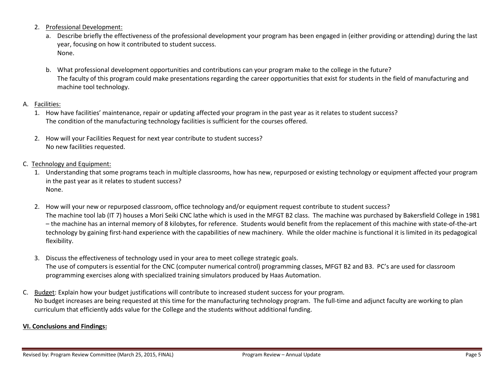- 2. Professional Development:
	- a. Describe briefly the effectiveness of the professional development your program has been engaged in (either providing or attending) during the last year, focusing on how it contributed to student success. None.
	- b. What professional development opportunities and contributions can your program make to the college in the future? The faculty of this program could make presentations regarding the career opportunities that exist for students in the field of manufacturing and machine tool technology.

# A. <u>Facilities:</u>

- 1. How have facilities' maintenance, repair or updating affected your program in the past year as it relates to student success? The condition of the manufacturing technology facilities is sufficient for the courses offered.
- 2. How will your Facilities Request for next year contribute to student success? No new facilities requested.
- C. Technology and Equipment:
	- 1. Understanding that some programs teach in multiple classrooms, how has new, repurposed or existing technology or equipment affected your program in the past year as it relates to student success? None.
	- 2. How will your new or repurposed classroom, office technology and/or equipment request contribute to student success? The machine tool lab (IT 7) houses a Mori Seiki CNC lathe which is used in the MFGT B2 class. The machine was purchased by Bakersfield College in 1981 – the machine has an internal memory of 8 kilobytes, for reference. Students would benefit from the replacement of this machine with state‐of‐the‐art technology by gaining first‐hand experience with the capabilities of new machinery. While the older machine is functional it is limited in its pedagogical flexibility.
	- 3. Discuss the effectiveness of technology used in your area to meet college strategic goals. The use of computers is essential for the CNC (computer numerical control) programming classes, MFGT B2 and B3. PC's are used for classroom programming exercises along with specialized training simulators produced by Haas Automation.
- C. Budget: Explain how your budget justifications will contribute to increased student success for your program. No budget increases are being requested at this time for the manufacturing technology program. The full‐time and adjunct faculty are working to plan curriculum that efficiently adds value for the College and the students without additional funding.

# VI. Conclusions and Findings: